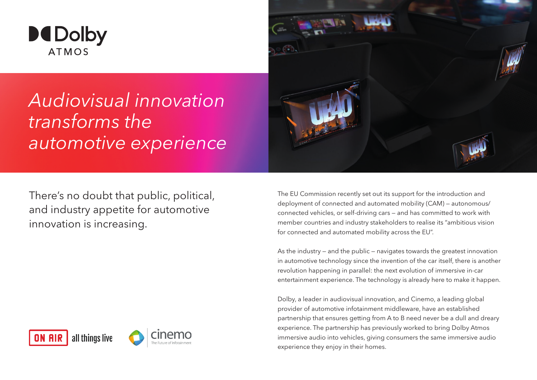

# *Audiovisual innovation transforms the automotive experience*

There's no doubt that public, political, and industry appetite for automotive innovation is increasing.





The EU Commission recently set out its support for the introduction and deployment of connected and automated mobility (CAM) — autonomous/ connected vehicles, or self-driving cars — and has committed to work with member countries and industry stakeholders to realise its "ambitious vision for connected and automated mobility across the EU".

As the industry — and the public — navigates towards the greatest innovation in automotive technology since the invention of the car itself, there is another revolution happening in parallel: the next evolution of immersive in-car entertainment experience. The technology is already here to make it happen.

Dolby, a leader in audiovisual innovation, and Cinemo, a leading global provider of automotive infotainment middleware, have an established partnership that ensures getting from A to B need never be a dull and dreary experience. The partnership has previously worked to bring Dolby Atmos immersive audio into vehicles, giving consumers the same immersive audio experience they enjoy in their homes.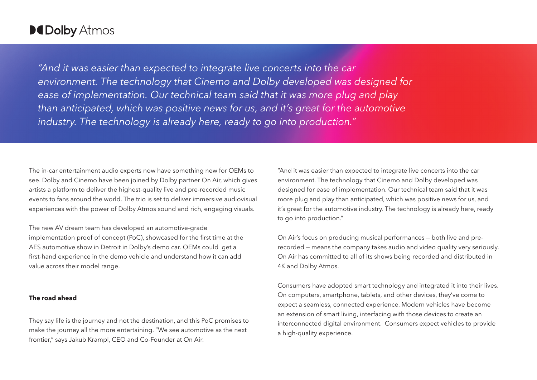### **MDolby Atmos**

*"And it was easier than expected to integrate live concerts into the car environment. The technology that Cinemo and Dolby developed was designed for ease of implementation. Our technical team said that it was more plug and play than anticipated, which was positive news for us, and it's great for the automotive industry. The technology is already here, ready to go into production."*

The in-car entertainment audio experts now have something new for OEMs to see. Dolby and Cinemo have been joined by Dolby partner On Air, which gives artists a platform to deliver the highest-quality live and pre-recorded music events to fans around the world. The trio is set to deliver immersive audiovisual experiences with the power of Dolby Atmos sound and rich, engaging visuals.

The new AV dream team has developed an automotive-grade implementation proof of concept (PoC), showcased for the first time at the AES automotive show in Detroit in Dolby's demo car. OEMs could get a first-hand experience in the demo vehicle and understand how it can add value across their model range.

### **The road ahead**

They say life is the journey and not the destination, and this PoC promises to make the journey all the more entertaining. "We see automotive as the next frontier," says Jakub Krampl, CEO and Co-Founder at On Air.

"And it was easier than expected to integrate live concerts into the car environment. The technology that Cinemo and Dolby developed was designed for ease of implementation. Our technical team said that it was more plug and play than anticipated, which was positive news for us, and it's great for the automotive industry. The technology is already here, ready to go into production."

On Air's focus on producing musical performances — both live and prerecorded — means the company takes audio and video quality very seriously. On Air has committed to all of its shows being recorded and distributed in 4K and Dolby Atmos.

Consumers have adopted smart technology and integrated it into their lives. On computers, smartphone, tablets, and other devices, they've come to expect a seamless, connected experience. Modern vehicles have become an extension of smart living, interfacing with those devices to create an interconnected digital environment. Consumers expect vehicles to provide a high-quality experience.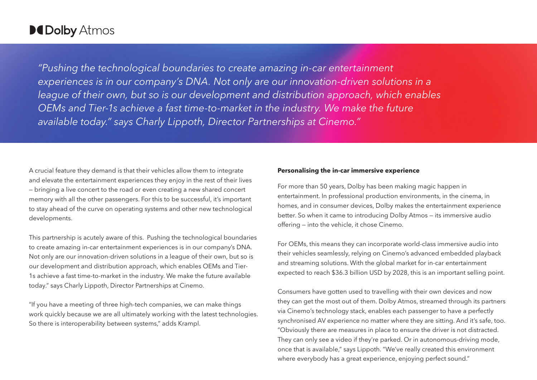### **MDolby Atmos**

*"Pushing the technological boundaries to create amazing in-car entertainment experiences is in our company's DNA. Not only are our innovation-driven solutions in a league of their own, but so is our development and distribution approach, which enables OEMs and Tier-1s achieve a fast time-to-market in the industry. We make the future available today." says Charly Lippoth, Director Partnerships at Cinemo."*

A crucial feature they demand is that their vehicles allow them to integrate and elevate the entertainment experiences they enjoy in the rest of their lives — bringing a live concert to the road or even creating a new shared concert memory with all the other passengers. For this to be successful, it's important to stay ahead of the curve on operating systems and other new technological developments.

This partnership is acutely aware of this. Pushing the technological boundaries to create amazing in-car entertainment experiences is in our company's DNA. Not only are our innovation-driven solutions in a league of their own, but so is our development and distribution approach, which enables OEMs and Tier-1s achieve a fast time-to-market in the industry. We make the future available today." says Charly Lippoth, Director Partnerships at Cinemo.

"If you have a meeting of three high-tech companies, we can make things work quickly because we are all ultimately working with the latest technologies. So there is interoperability between systems," adds Krampl.

#### **Personalising the in-car immersive experience**

For more than 50 years, Dolby has been making magic happen in entertainment. In professional production environments, in the cinema, in homes, and in consumer devices, Dolby makes the entertainment experience better. So when it came to introducing Dolby Atmos — its immersive audio offering — into the vehicle, it chose Cinemo.

For OEMs, this means they can incorporate world-class immersive audio into their vehicles seamlessly, relying on Cinemo's advanced embedded playback and streaming solutions. With the global market for in-car entertainment expected to reach \$36.3 billion USD by 2028, this is an important selling point.

Consumers have gotten used to travelling with their own devices and now they can get the most out of them. Dolby Atmos, streamed through its partners via Cinemo's technology stack, enables each passenger to have a perfectly synchronised AV experience no matter where they are sitting. And it's safe, too. "Obviously there are measures in place to ensure the driver is not distracted. They can only see a video if they're parked. Or in autonomous-driving mode, once that is available," says Lippoth. "We've really created this environment where everybody has a great experience, enjoying perfect sound."